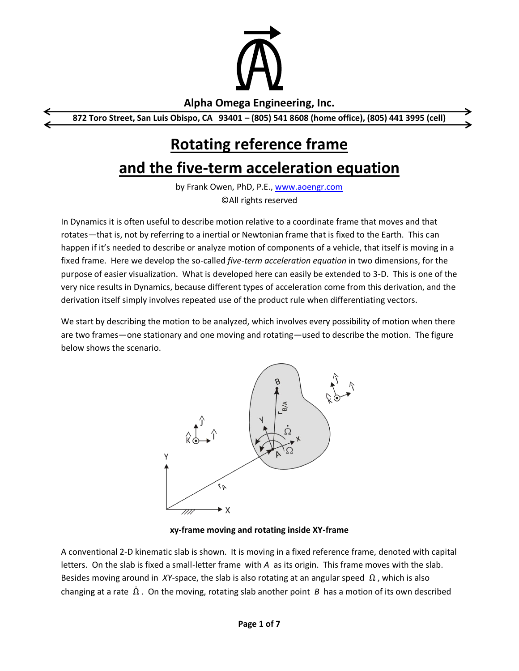

### **Alpha Omega Engineering, Inc.**

**872 Toro Street, San Luis Obispo, CA 93401 – (805) 541 8608 (home office), (805) 441 3995 (cell)**

# **Rotating reference frame**

## **and the five-term acceleration equation**

by Frank Owen, PhD, P.E., [www.aoengr.com](http://www.aoengr.com/) ©All rights reserved

In Dynamics it is often useful to describe motion relative to a coordinate frame that moves and that rotates—that is, not by referring to a inertial or Newtonian frame that is fixed to the Earth. This can happen if it's needed to describe or analyze motion of components of a vehicle, that itself is moving in a fixed frame. Here we develop the so-called *five-term acceleration equation* in two dimensions, for the purpose of easier visualization. What is developed here can easily be extended to 3-D. This is one of the very nice results in Dynamics, because different types of acceleration come from this derivation, and the derivation itself simply involves repeated use of the product rule when differentiating vectors.

We start by describing the motion to be analyzed, which involves every possibility of motion when there are two frames—one stationary and one moving and rotating—used to describe the motion. The figure below shows the scenario.



**xy-frame moving and rotating inside XY-frame**

A conventional 2-D kinematic slab is shown. It is moving in a fixed reference frame, denoted with capital letters. On the slab is fixed a small-letter frame with *A* as its origin. This frame moves with the slab. Besides moving around in *XY*-space, the slab is also rotating at an angular speed  $\Omega$ , which is also changing at a rate  $\dot{\Omega}$  . On the moving, rotating slab another point *B* has a motion of its own described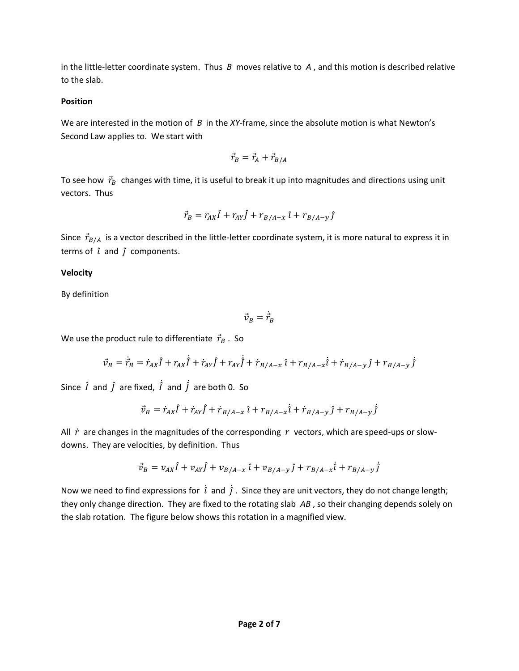in the little-letter coordinate system. Thus *B* moves relative to *A* , and this motion is described relative to the slab.

#### **Position**

We are interested in the motion of *B* in the *XY*-frame, since the absolute motion is what Newton's Second Law applies to. We start with

$$
\vec{r}_B = \vec{r}_A + \vec{r}_{B/A}
$$

To see how  $\vec{r}_B$  changes with time, it is useful to break it up into magnitudes and directions using unit vectors. Thus

$$
\vec{r}_B = r_{AX}\hat{I} + r_{AY}\hat{J} + r_{B/A-x}\hat{t} + r_{B/A-y}\hat{J}
$$

Since  $\vec{r}_{B/A}$  is a vector described in the little-letter coordinate system, it is more natural to express it in terms of  $\hat{i}$  and  $\hat{j}$  components.

#### **Velocity**

By definition

 $\vec{v}_B = \vec{r}_B$ ֧֦֧֦֧֦֧֦֧֦֧֓֝֝֜

We use the product rule to differentiate  $\vec{r}_B$ . So

$$
\vec{v}_B = \dot{\vec{r}}_B = \dot{r}_{AX} \hat{I} + r_{AX} \dot{\hat{I}} + \dot{r}_{AY} \hat{J} + r_{AY} \dot{\hat{J}} + \dot{r}_{B/A-x} \hat{i} + r_{B/A-x} \dot{\hat{i}} + \dot{r}_{B/A-y} \hat{j} + r_{B/A-y} \dot{\hat{j}}
$$

Since  $\hat{I}$  and  $\hat{J}$  are fixed,  $\dot{\hat{I}}$  and  $\dot{\hat{J}}$  are both 0. So

$$
\vec{v}_B = \dot{r}_{AX} \hat{I} + \dot{r}_{AY} \hat{J} + \dot{r}_{B/A-x} \hat{i} + r_{B/A-x} \dot{\hat{i}} + \dot{r}_{B/A-y} \hat{j} + r_{B/A-y} \dot{\hat{j}}
$$

All  $\dot{r}$  are changes in the magnitudes of the corresponding  $r$  vectors, which are speed-ups or slowdowns. They are velocities, by definition. Thus

$$
\vec{v}_B = v_{AX} \hat{I} + v_{AY} \hat{J} + v_{B/A-x} \hat{I} + v_{B/A-y} \hat{J} + r_{B/A-x} \hat{I} + r_{B/A-y} \hat{J}
$$

Now we need to find expressions for  $\hat{i}$  and  $\hat{j}$ . Since they are unit vectors, they do not change length; they only change direction. They are fixed to the rotating slab *AB* , so their changing depends solely on the slab rotation. The figure below shows this rotation in a magnified view.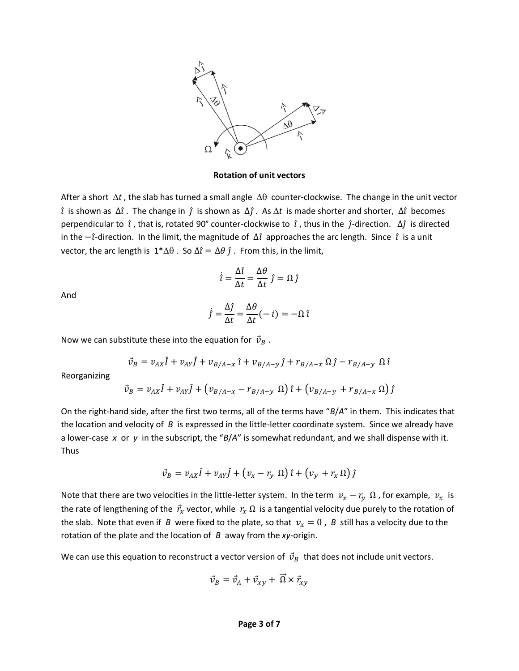

**Rotation of unit vectors**

After a short  $\Delta t$ , the slab has turned a small angle  $\Delta\theta$  counter-clockwise. The change in the unit vector ̂ is shown as ∆̂. The change in ̂is shown as ∆̂. As *t* is made shorter and shorter, ∆ ̂ becomes perpendicular to  $\hat{i}$ , that is, rotated 90° counter-clockwise to  $\hat{i}$ , thus in the  $\hat{j}$ -direction.  $\Delta \hat{j}$  is directed in the  $-\hat{i}$ -direction. In the limit, the magnitude of  $\Delta \hat{i}$  approaches the arc length. Since  $\hat{i}$  is a unit vector, the arc length is  $1^*\Delta\theta$ . So  $\Delta \hat{i} = \Delta\theta \hat{j}$ . From this, in the limit,

$$
\dot{\hat{\imath}} = \frac{\Delta \hat{\imath}}{\Delta t} = \frac{\Delta \theta}{\Delta t} \hat{j} = \Omega \hat{j}
$$

And

$$
\dot{j} = \frac{\Delta \hat{j}}{\Delta t} = \frac{\Delta \theta}{\Delta t} (-i) = -\Omega \hat{i}
$$

Now we can substitute these into the equation for  $\vec{v}_B$ .

$$
\vec{v}_B = v_{AX} \hat{I} + v_{AY} \hat{J} + v_{B/A-x} \hat{\iota} + v_{B/A-y} \hat{J} + r_{B/A-x} \Omega \hat{J} - r_{B/A-y} \Omega \hat{\iota}
$$

Reorganizing

$$
\vec{v}_B = v_{AX} \hat{I} + v_{AY} \hat{J} + (v_{B/A-x} - r_{B/A-y} \Omega) \hat{i} + (v_{B/A-y} + r_{B/A-x} \Omega) \hat{j}
$$

On the right-hand side, after the first two terms, all of the terms have "*B*/*A*" in them. This indicates that the location and velocity of *B* is expressed in the little-letter coordinate system. Since we already have a lower-case *x* or *y* in the subscript, the "*B*/*A*" is somewhat redundant, and we shall dispense with it. Thus

$$
\vec{v}_B = v_{AX} \hat{I} + v_{AY} \hat{J} + (v_x - r_y \Omega) \hat{i} + (v_y + r_x \Omega) \hat{j}
$$

Note that there are two velocities in the little-letter system. In the term  $v_x - r_y \Omega$ , for example,  $v_x$  is the rate of lengthening of the  $\vec{r}_x$  vector, while  $r_x \Omega$  is a tangential velocity due purely to the rotation of the slab. Note that even if *B* were fixed to the plate, so that  $v_x = 0$ , *B* still has a velocity due to the rotation of the plate and the location of *B* away from the *xy*-origin.

We can use this equation to reconstruct a vector version of  $\vec{v}_B$  that does not include unit vectors.

$$
\vec{v}_B = \vec{v}_A + \vec{v}_{xy} + \overrightarrow{\Omega} \times \vec{r}_{xy}
$$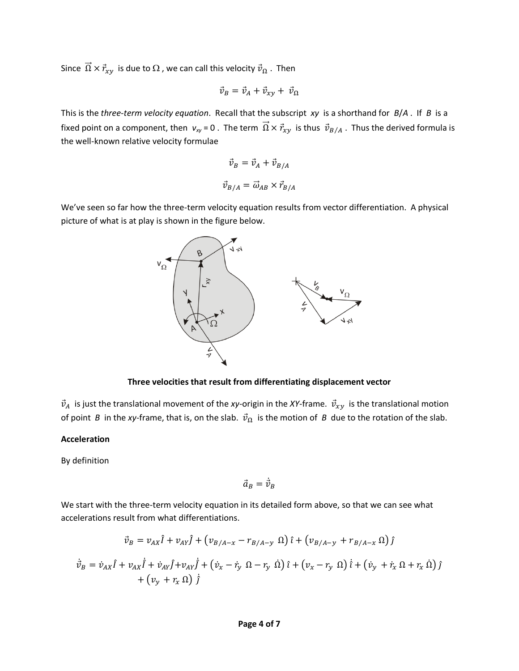Since  $\vec{\Omega} \times \vec{r}_{xy}$  is due to  $\Omega$ , we can call this velocity  $\vec{v}_{\Omega}$ . Then

$$
\vec{v}_B = \vec{v}_A + \vec{v}_{xy} + \vec{v}_{\Omega}
$$

This is the *three-term velocity equation*. Recall that the subscript *xy* is a shorthand for *B*/*A* . If *B* is a fixed point on a component, then  $v_{xy} = 0$ . The term  $\vec{\Omega} \times \vec{r}_{xy}$  is thus  $\vec{v}_{B/A}$ . Thus the derived formula is the well-known relative velocity formulae

$$
\vec{v}_B = \vec{v}_A + \vec{v}_{B/A}
$$

$$
\vec{v}_{B/A} = \vec{\omega}_{AB} \times \vec{r}_{B/A}
$$

We've seen so far how the three-term velocity equation results from vector differentiation. A physical picture of what is at play is shown in the figure below.



**Three velocities that result from differentiating displacement vector**

 $\vec{v}_A$  is just the translational movement of the *xy*-origin in the *XY*-frame.  $\vec{v}_{xy}$  is the translational motion of point *B* in the *xy*-frame, that is, on the slab.  $\vec{v}_{\Omega}$  is the motion of *B* due to the rotation of the slab.

#### **Acceleration**

By definition

 $\vec{a}_B = \vec{v}_B$ ֧֧֢֖֧֧֧֧ׅ֧ׅ֧ׅ֧ׅ֧ׅ֧֧֧֧֧֧֧֧֧֧֚֚֚֚֚֚֚֚֚֚֚֚֚֚֚֚֚֚֝֝֝֓֝֓֜֜֜֜֜֓֜֝֬

We start with the three-term velocity equation in its detailed form above, so that we can see what accelerations result from what differentiations.

$$
\vec{v}_B = v_{AX}\hat{\mathbf{i}} + v_{AY}\hat{\mathbf{j}} + (v_{B/A-x} - r_{B/A-y} \Omega)\hat{\mathbf{i}} + (v_{B/A-y} + r_{B/A-x} \Omega)\hat{\mathbf{j}}
$$
\n
$$
\vec{v}_B = \vec{v}_{AX}\hat{\mathbf{i}} + v_{AX}\hat{\mathbf{i}} + \vec{v}_{AY}\hat{\mathbf{j}} + v_{AY}\hat{\mathbf{j}} + (\vec{v}_x - \vec{r}_y \Omega - r_y \Omega)\hat{\mathbf{i}} + (v_x - r_y \Omega)\hat{\mathbf{i}} + (\vec{v}_y + \vec{r}_x \Omega + r_x \Omega)\hat{\mathbf{j}} + (v_y + r_x \Omega)\hat{\mathbf{j}}
$$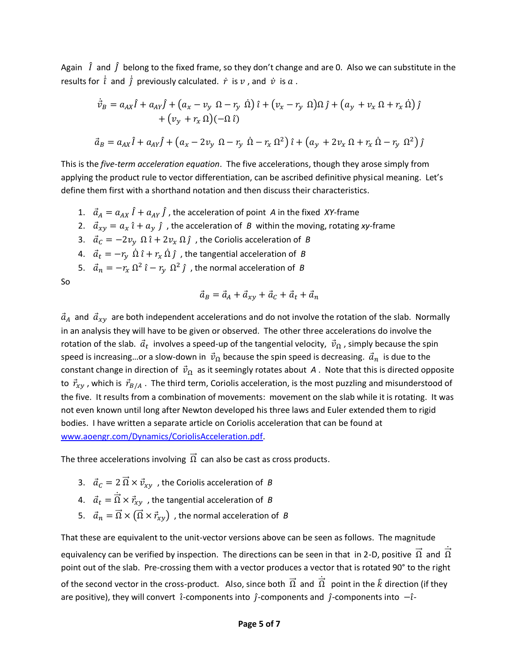Again  $\hat{I}$  and  $\hat{J}$  belong to the fixed frame, so they don't change and are 0. Also we can substitute in the results for  $\hat{i}$  and  $\hat{j}$  previously calculated.  $\dot{r}$  is  $v$  , and  $\dot{v}$  is  $a$  .

$$
\dot{\vec{v}}_B = a_{AX}\hat{i} + a_{AY}\hat{j} + (a_x - v_y \Omega - r_y \Omega)\hat{i} + (v_x - r_y \Omega)\Omega \hat{j} + (a_y + v_x \Omega + r_x \Omega)\hat{j} \n+ (v_y + r_x \Omega)(-\Omega \hat{i})
$$
\n
$$
\vec{a}_B = a_{AX}\hat{i} + a_{AY}\hat{j} + (a_x - 2v_y \Omega - r_y \Omega - r_x \Omega^2)\hat{i} + (a_y + 2v_x \Omega + r_x \Omega - r_y \Omega^2)\hat{j}
$$

This is the *five-term acceleration equation*. The five accelerations, though they arose simply from applying the product rule to vector differentiation, can be ascribed definitive physical meaning. Let's define them first with a shorthand notation and then discuss their characteristics.

- 1.  $\vec{a}_A = a_{AX} \hat{I} + a_{AY} \hat{J}$ , the acceleration of point *A* in the fixed *XY*-frame
- 2.  $\vec{a}_{xy} = a_x \hat{i} + a_y \hat{j}$ , the acceleration of *B* within the moving, rotating *xy*-frame
- 3.  $\vec{a}_c = -2v_y \Omega \hat{i} + 2v_x \Omega \hat{j}$ , the Coriolis acceleration of *B*
- 4.  $\vec{a}_t = -r_\nu \ \dot{\Omega} \hat{\imath} + r_\nu \ \dot{\Omega} \hat{\jmath}$ , the tangential acceleration of *B*
- 5.  $\vec{a}_n = -r_x \Omega^2 \hat{i} r_y \Omega^2 \hat{j}$ , the normal acceleration of *B*

So

$$
\vec{a}_B = \vec{a}_A + \vec{a}_{xy} + \vec{a}_C + \vec{a}_t + \vec{a}_n
$$

 $\vec{a}_A$  and  $\vec{a}_{xy}$  are both independent accelerations and do not involve the rotation of the slab. Normally in an analysis they will have to be given or observed. The other three accelerations do involve the rotation of the slab.  $\vec{a}_t$  involves a speed-up of the tangential velocity,  $\vec{v}_\Omega$  , simply because the spin speed is increasing...or a slow-down in  $\vec{v}_{\Omega}$  because the spin speed is decreasing.  $\vec{a}_n$  is due to the constant change in direction of  $\vec{v}_{\Omega}$  as it seemingly rotates about *A* . Note that this is directed opposite to  $\vec{r}_{xy}$ , which is  $\vec{r}_{B/A}$ . The third term, Coriolis acceleration, is the most puzzling and misunderstood of the five. It results from a combination of movements: movement on the slab while it is rotating. It was not even known until long after Newton developed his three laws and Euler extended them to rigid bodies. I have written a separate article on Coriolis acceleration that can be found at [www.aoengr.com/Dynamics/CoriolisAcceleration.pdf.](http://www.aoengr.com/Dynamics/CoriolisAcceleration.pdf)

The three accelerations involving  $\vec{\Omega}$  can also be cast as cross products.

- 3.  $\vec{a}_C = 2 \vec{\Omega} \times \vec{v}_{xy}$ , the Coriolis acceleration of *B*
- 4.  $\vec{a}_t = \dot{\vec{\Omega}} \times \vec{r}_{xy}$  , the tangential acceleration of  $B$
- 5.  $\vec{a}_n = \vec{\Omega} \times (\vec{\Omega} \times \vec{r}_{xy})$ , the normal acceleration of *B*

That these are equivalent to the unit-vector versions above can be seen as follows. The magnitude equivalency can be verified by inspection. The directions can be seen in that in 2-D, positive  $\vec{\Omega}$  and  $\vec{\Omega}$ ֧֦֧֢֦֧֦֧֦֧֦֧֦֧֦֧֢֢ׅ֦֧ׅ֧ׅ֧֦֧ׅ֧֦֧ׅ֧ׅ֧֓֜֜֜֓֜֓֜֓֜֓֜֓ point out of the slab. Pre-crossing them with a vector produces a vector that is rotated 90° to the right of the second vector in the cross-product. Also, since both  $\vec{\Omega}$  and  $\vec{\Omega}$  point in the  $\hat{k}$  direction (if they ֧ׅׅ֧ׅ֧ׅ֧ׅ֧ׅ֧֢ׅ֧ׅ֧ׅ֧ׅ֧ׅ֧ׅ֧ׅ֧ׅ֧֚֚֚֚֚֚֚֚֚֚֚֚֚֚֚֚֡֡֓֡֡֡֡֓֡֡֡֜֓֡֟֓֡֟֜֓֜֓֜֓֜֓֜֓֜֜֜֜֜֜ are positive), they will convert  $\hat{i}$ -components into  $\hat{j}$ -components and  $\hat{j}$ -components into  $-\hat{i}$ -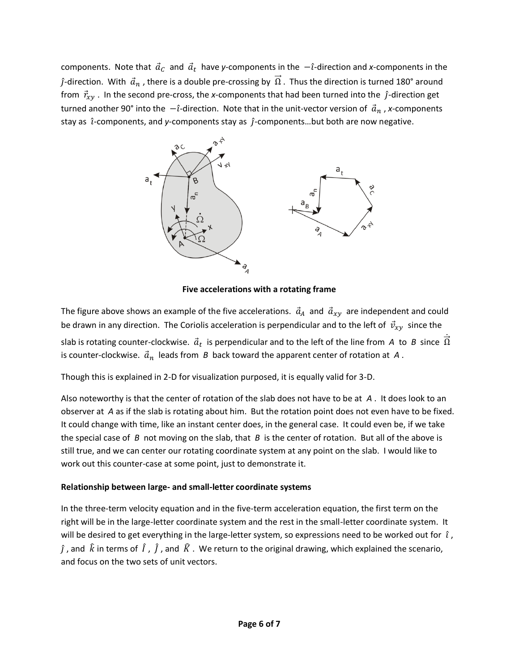components. Note that  $\vec{a}_{\mathcal{C}}$  and  $\vec{a}_{t}$  have y-components in the  $-i$ -direction and x-components in the  $\hat{j}$ -direction. With  $\vec{a}_n$ , there is a double pre-crossing by  $\vec{\Omega}$ . Thus the direction is turned 180° around from  $\vec{r}_{xy}$ . In the second pre-cross, the *x*-components that had been turned into the  $\hat{j}$ -direction get turned another 90° into the  $-\hat{i}$ -direction. Note that in the unit-vector version of  $\vec{a}_n$ , x-components stay as  $\hat{i}$ -components, and *y*-components stay as  $\hat{j}$ -components...but both are now negative.



**Five accelerations with a rotating frame**

The figure above shows an example of the five accelerations.  $\vec{a}_A$  and  $\vec{a}_{xy}$  are independent and could be drawn in any direction. The Coriolis acceleration is perpendicular and to the left of  $\vec{v}_{xy}$  since the slab is rotating counter-clockwise.  $\vec{a}_t$  is perpendicular and to the left of the line from A to B since  $\vec{\Omega}$ ֧֦֧֢֦֧֦֧֦֧֦֧֦֧֦֧֢֢ׅ֦֧ׅ֧ׅ֧֦֧ׅ֧֦֧ׅ֧ׅ֧֓֜֜֜֓֜֓֜֓֜֓֜֓ is counter-clockwise.  $\vec{a}_n$  leads from *B* back toward the apparent center of rotation at *A*.

Though this is explained in 2-D for visualization purposed, it is equally valid for 3-D.

Also noteworthy is that the center of rotation of the slab does not have to be at *A* . It does look to an observer at *A* as if the slab is rotating about him. But the rotation point does not even have to be fixed. It could change with time, like an instant center does, in the general case. It could even be, if we take the special case of *B* not moving on the slab, that *B* is the center of rotation. But all of the above is still true, and we can center our rotating coordinate system at any point on the slab. I would like to work out this counter-case at some point, just to demonstrate it.

#### **Relationship between large- and small-letter coordinate systems**

In the three-term velocity equation and in the five-term acceleration equation, the first term on the right will be in the large-letter coordinate system and the rest in the small-letter coordinate system. It will be desired to get everything in the large-letter system, so expressions need to be worked out for  $\hat{i}$ ,  $\hat{j}$  , and  $\hat{k}$  in terms of  $\hat{I}$  ,  $\hat{J}$  , and  $\hat{K}$  . We return to the original drawing, which explained the scenario, and focus on the two sets of unit vectors.